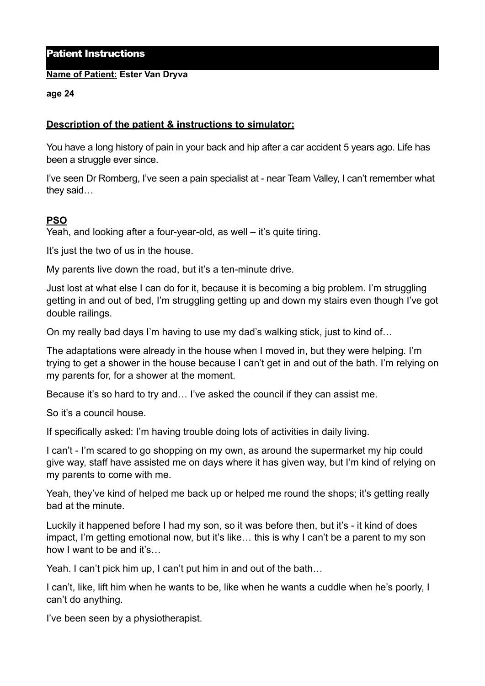## Patient Instructions

#### **Name of Patient: Ester Van Dryva**

#### **age 24**

## **Description of the patient & instructions to simulator:**

You have a long history of pain in your back and hip after a car accident 5 years ago. Life has been a struggle ever since.

I've seen Dr Romberg, I've seen a pain specialist at - near Team Valley, I can't remember what they said…

# **PSO**

Yeah, and looking after a four-year-old, as well – it's quite tiring.

It's just the two of us in the house.

My parents live down the road, but it's a ten-minute drive.

Just lost at what else I can do for it, because it is becoming a big problem. I'm struggling getting in and out of bed, I'm struggling getting up and down my stairs even though I've got double railings.

On my really bad days I'm having to use my dad's walking stick, just to kind of…

The adaptations were already in the house when I moved in, but they were helping. I'm trying to get a shower in the house because I can't get in and out of the bath. I'm relying on my parents for, for a shower at the moment.

Because it's so hard to try and… I've asked the council if they can assist me.

So it's a council house.

If specifically asked: I'm having trouble doing lots of activities in daily living.

I can't - I'm scared to go shopping on my own, as around the supermarket my hip could give way, staff have assisted me on days where it has given way, but I'm kind of relying on my parents to come with me.

Yeah, they've kind of helped me back up or helped me round the shops; it's getting really bad at the minute.

Luckily it happened before I had my son, so it was before then, but it's - it kind of does impact, I'm getting emotional now, but it's like… this is why I can't be a parent to my son how I want to be and it's…

Yeah. I can't pick him up, I can't put him in and out of the bath…

I can't, like, lift him when he wants to be, like when he wants a cuddle when he's poorly, I can't do anything.

I've been seen by a physiotherapist.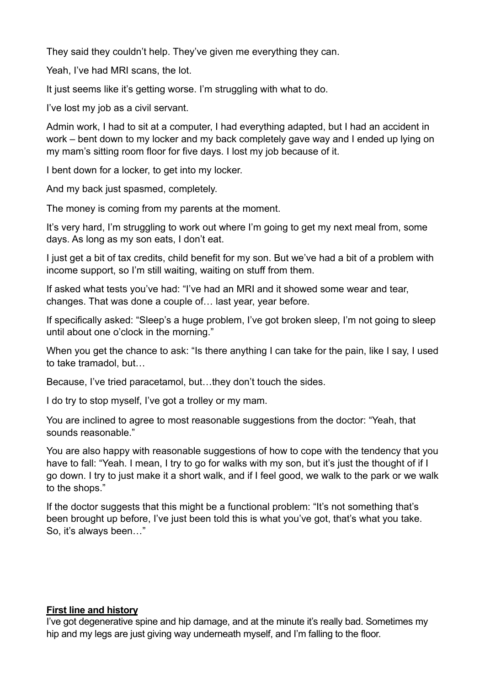They said they couldn't help. They've given me everything they can.

Yeah, I've had MRI scans, the lot.

It just seems like it's getting worse. I'm struggling with what to do.

I've lost my job as a civil servant.

Admin work, I had to sit at a computer, I had everything adapted, but I had an accident in work – bent down to my locker and my back completely gave way and I ended up lying on my mam's sitting room floor for five days. I lost my job because of it.

I bent down for a locker, to get into my locker.

And my back just spasmed, completely.

The money is coming from my parents at the moment.

It's very hard, I'm struggling to work out where I'm going to get my next meal from, some days. As long as my son eats, I don't eat.

I just get a bit of tax credits, child benefit for my son. But we've had a bit of a problem with income support, so I'm still waiting, waiting on stuff from them.

If asked what tests you've had: "I've had an MRI and it showed some wear and tear, changes. That was done a couple of… last year, year before.

If specifically asked: "Sleep's a huge problem, I've got broken sleep, I'm not going to sleep until about one o'clock in the morning."

When you get the chance to ask: "Is there anything I can take for the pain, like I say, I used to take tramadol, but…

Because, I've tried paracetamol, but…they don't touch the sides.

I do try to stop myself, I've got a trolley or my mam.

You are inclined to agree to most reasonable suggestions from the doctor: "Yeah, that sounds reasonable."

You are also happy with reasonable suggestions of how to cope with the tendency that you have to fall: "Yeah. I mean, I try to go for walks with my son, but it's just the thought of if I go down. I try to just make it a short walk, and if I feel good, we walk to the park or we walk to the shops."

If the doctor suggests that this might be a functional problem: "It's not something that's been brought up before, I've just been told this is what you've got, that's what you take. So, it's always been…"

### **First line and history**

I've got degenerative spine and hip damage, and at the minute it's really bad. Sometimes my hip and my legs are just giving way underneath myself, and I'm falling to the floor.